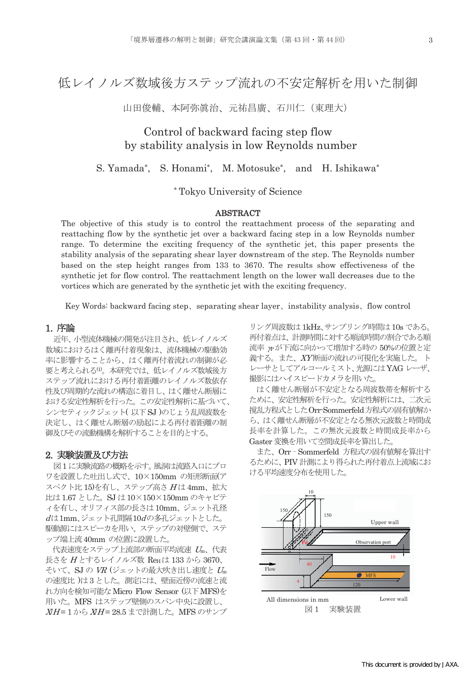山田俊輔、本阿弥眞治、元祐昌廣、石川仁(東理大)

# Control of backward facing step flow by stability analysis in low Reynolds number

S. Yamada\*, S. Honami\*, M. Motosuke\*, and H. Ishikawa\*

\* Tokyo University of Science

## ABSTRACT

The objective of this study is to control the reattachment process of the separating and reattaching flow by the synthetic jet over a backward facing step in a low Reynolds number range. To determine the exciting frequency of the synthetic jet, this paper presents the stability analysis of the separating shear layer downstream of the step. The Reynolds number based on the step height ranges from 133 to 3670. The results show effectiveness of the synthetic jet for flow control. The reattachment length on the lower wall decreases due to the vortices which are generated by the synthetic jet with the exciting frequency.

Key Words: backward facing step, separating shear layer, instability analysis, flow control

# 1. 序論

近年、小型流体機械の開発が注目され、低レイノルズ 数域におけるはく離再付着現象は、流体機械の駆動効 率に影響することから、はく離再付着流れの制御が必 要と考えられる(1)。本研究では、低レイノルズ数域後方 ステップ流れにおける再付着距離のレイノルズ数依存 性及び周期的な流れの構造に着目し、はく離せん断層に おける安定性解析を行った。この安定性解析に基づいて、 シンセティックジェット(以下SJ)のじょう乱周波数を 決定し、はく離せん断層の励起による再付着距離の制 御及びその流動機構を解析することを目的とする。

# 2. 実験装置及び方法

図1に実験流路の概略を示す。風洞は流路入口にブロ ワを設置した吐出し式で、10×150mmの矩形断面(ア スペクト比15)を有し、ステップ高さ Hは 4mm、拡大 比は 1.67 とした。SJ は 10×150×150mm のキャビテ ィを有し、オリフィス部の長さは10mm、ジェット孔径 dは1mm、ジェット孔間隔10dの多孔ジェットとした。 駆動源にはスピーカを用い、ステップの対壁側で、ステ ップ端上流 40mm の位置に設置した。

代表速度をステップ上流部の断面平均流速 Um、代表 長さを  $H$ とするレイノルズ数 ReH は 133 から 3670、 そいて、SJの VR (ジェットの最大吹き出し速度と Um の速度比)は3とした。測定には、壁面近傍の流速と流 れ方向を検知可能な Micro Flow Sensor (以下 MFS)を 用いた。MFS はステップ壁側のスパン中央に設置し、  $XH = 1$ から $XH = 28.5$ まで計測した。MFS のサンプ

リング周波数は 1kHz、サンプリング時間は 10s である。 再付着点は、計測時間に対する順流時間の割合である順 流率 nが下流に向かって増加する時の 50%の位置と定 義する。また、XY断面の流れの可視化を実施した。ト レーサとしてアルコールミスト、光源にはYAGレーザ、 撮影にはハイスピードカメラを用いた。

はく離せん断層が不安定となる周波数帯を解析する ために、安定性解析を行った。安定性解析には、二次元 撹乱方程式としたOrr-Sommerfeld方程式の固有値解か ら、はく離せん断層が不安定となる無次元波数と時間成 長率を計算した。この無次元波数と時間成長率から Gaster 変換を用いて空間成長率を算出した。

また、Orr - Sommerfeld 方程式の固有値解を算出す るために、PIV 計測により得られた再付着点上流域にお ける平均速度分布を使用した。